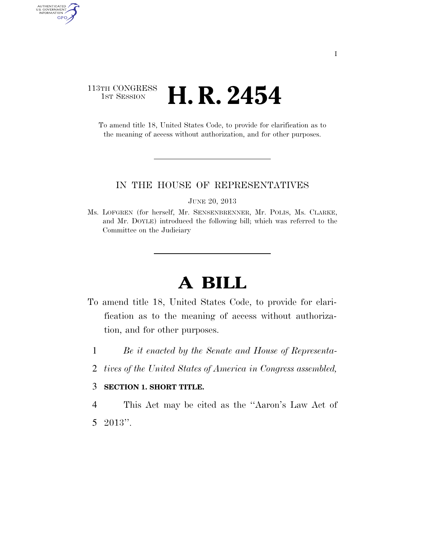## 113TH CONGRESS **1st Session H. R. 2454**

AUTHENTICATED<br>U.S. GOVERNMENT<br>INFORMATION

GPO

To amend title 18, United States Code, to provide for clarification as to the meaning of access without authorization, and for other purposes.

## IN THE HOUSE OF REPRESENTATIVES

JUNE 20, 2013

Ms. LOFGREN (for herself, Mr. SENSENBRENNER, Mr. POLIS, Ms. CLARKE, and Mr. DOYLE) introduced the following bill; which was referred to the Committee on the Judiciary

## **A BILL**

- To amend title 18, United States Code, to provide for clarification as to the meaning of access without authorization, and for other purposes.
	- 1 *Be it enacted by the Senate and House of Representa-*
	- 2 *tives of the United States of America in Congress assembled,*

## 3 **SECTION 1. SHORT TITLE.**

4 This Act may be cited as the ''Aaron's Law Act of 5 2013''.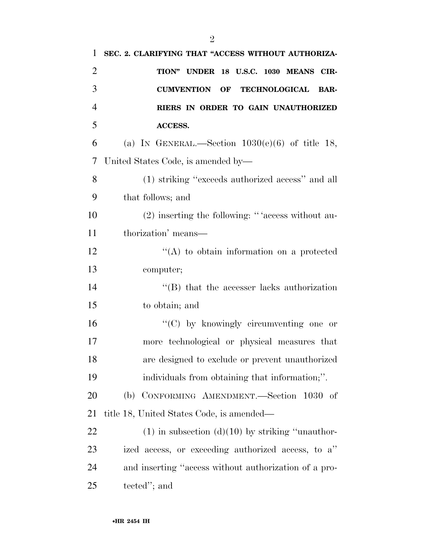| $\mathbf{1}$   | SEC. 2. CLARIFYING THAT "ACCESS WITHOUT AUTHORIZA-          |
|----------------|-------------------------------------------------------------|
| $\overline{2}$ | TION" UNDER 18 U.S.C. 1030 MEANS CIR-                       |
| 3              | <b>CUMVENTION OF</b><br><b>TECHNOLOGICAL</b><br><b>BAR-</b> |
| $\overline{4}$ | RIERS IN ORDER TO GAIN UNAUTHORIZED                         |
| 5              | ACCESS.                                                     |
| 6              | (a) IN GENERAL.—Section $1030(e)(6)$ of title 18,           |
| 7              | United States Code, is amended by-                          |
| 8              | (1) striking "exceeds authorized access" and all            |
| 9              | that follows; and                                           |
| 10             | (2) inserting the following: "'access without au-           |
| 11             | thorization' means—                                         |
| 12             | $\lq\lq$ to obtain information on a protected               |
| 13             | computer;                                                   |
| 14             | $\lq$ (B) that the accesser lacks authorization             |
| 15             | to obtain; and                                              |
| 16             | " $(C)$ by knowingly circumventing one or                   |
| 17             | more technological or physical measures that                |
| 18             | are designed to exclude or prevent unauthorized             |
| 19             | individuals from obtaining that information;".              |
| 20             | CONFORMING AMENDMENT.-Section<br>(b)<br>$1030$ of           |
| 21             | title 18, United States Code, is amended—                   |
| 22             | $(1)$ in subsection $(d)(10)$ by striking "unauthor-        |
| 23             | ized access, or exceeding authorized access, to a"          |
| 24             | and inserting "access without authorization of a pro-       |
| 25             | tected"; and                                                |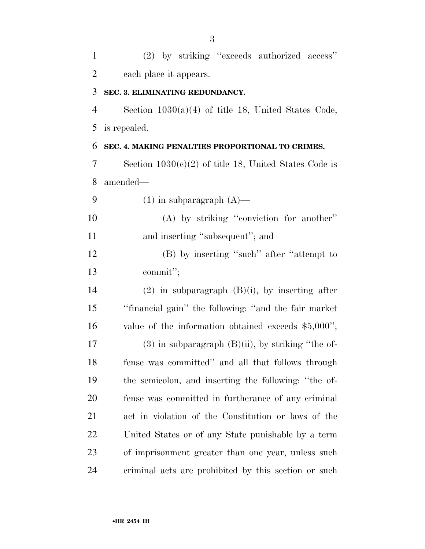(2) by striking ''exceeds authorized access'' each place it appears. **SEC. 3. ELIMINATING REDUNDANCY.**  Section 1030(a)(4) of title 18, United States Code, is repealed. **SEC. 4. MAKING PENALTIES PROPORTIONAL TO CRIMES.**  Section 1030(c)(2) of title 18, United States Code is amended—  $(1)$  in subparagraph  $(A)$ — (A) by striking ''conviction for another'' 11 and inserting "subsequent"; and 12 (B) by inserting "such" after "attempt to commit''; (2) in subparagraph (B)(i), by inserting after ''financial gain'' the following: ''and the fair market value of the information obtained exceeds \$5,000''; (3) in subparagraph (B)(ii), by striking ''the of- fense was committed'' and all that follows through the semicolon, and inserting the following: ''the of- fense was committed in furtherance of any criminal act in violation of the Constitution or laws of the United States or of any State punishable by a term of imprisonment greater than one year, unless such criminal acts are prohibited by this section or such